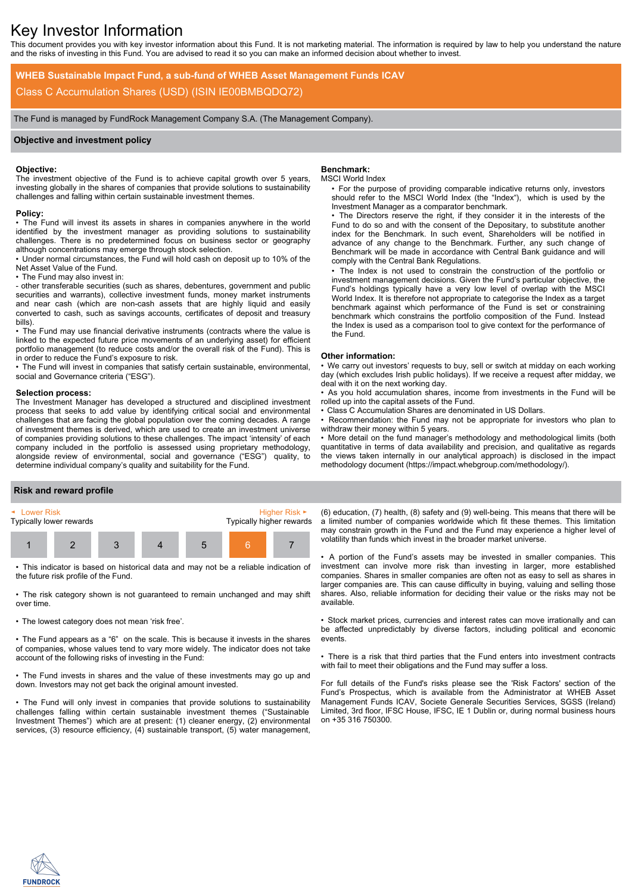# Key Investor Information

This document provides you with key investor information about this Fund. It is not marketing material. The information is required by law to help you understand the nature and the risks of investing in this Fund. You are advised to read it so you can make an informed decision about whether to invest.

**WHEB Sustainable Impact Fund, a sub-fund of WHEB Asset Management Funds ICAV** Class C Accumulation Shares (USD) (ISIN IE00BMBQDQ72)

The Fund is managed by FundRock Management Company S.A. (The Management Company).

## **Objective and investment policy**

#### **Objective:**

The investment objective of the Fund is to achieve capital growth over 5 years, investing globally in the shares of companies that provide solutions to sustainability challenges and falling within certain sustainable investment themes.

#### **Policy:**

• The Fund will invest its assets in shares in companies anywhere in the world identified by the investment manager as providing solutions to sustainability challenges. There is no predetermined focus on business sector or geography although concentrations may emerge through stock selection.

• Under normal circumstances, the Fund will hold cash on deposit up to 10% of the Net Asset Value of the Fund.

• The Fund may also invest in:

- other transferable securities (such as shares, debentures, government and public securities and warrants), collective investment funds, money market instruments and near cash (which are non-cash assets that are highly liquid and easily converted to cash, such as savings accounts, certificates of deposit and treasury bills).

• The Fund may use financial derivative instruments (contracts where the value is linked to the expected future price movements of an underlying asset) for efficient portfolio management (to reduce costs and/or the overall risk of the Fund). This is in order to reduce the Fund's exposure to risk.

• The Fund will invest in companies that satisfy certain sustainable, environmental, social and Governance criteria ("ESG").

#### **Selection process:**

The Investment Manager has developed a structured and disciplined investment process that seeks to add value by identifying critical social and environmental challenges that are facing the global population over the coming decades. A range of investment themes is derived, which are used to create an investment universe of companies providing solutions to these challenges. The impact 'intensity' of each company included in the portfolio is assessed using proprietary methodology, alongside review of environmental, social and governance ("ESG") quality, to determine individual company's quality and suitability for the Fund.

### **Benchmark:**

#### MSCI World Index

• For the purpose of providing comparable indicative returns only, investors should refer to the MSCI World Index (the "Index"), which is used by the Investment Manager as a comparator benchmark.

• The Directors reserve the right, if they consider it in the interests of the Fund to do so and with the consent of the Depositary, to substitute another index for the Benchmark. In such event, Shareholders will be notified in advance of any change to the Benchmark. Further, any such change of Benchmark will be made in accordance with Central Bank guidance and will comply with the Central Bank Regulations.

• The Index is not used to constrain the construction of the portfolio or investment management decisions. Given the Fund's particular objective, the Fund's holdings typically have a very low level of overlap with the MSCI World Index. It is therefore not appropriate to categorise the Index as a target benchmark against which performance of the Fund is set or constraining benchmark which constrains the portfolio composition of the Fund. Instead the Index is used as a comparison tool to give context for the performance of the Fund.

#### **Other information:**

• We carry out investors' requests to buy, sell or switch at midday on each working day (which excludes Irish public holidays). If we receive a request after midday, we deal with it on the next working day.

• As you hold accumulation shares, income from investments in the Fund will be rolled up into the capital assets of the Fund.

• Class C Accumulation Shares are denominated in US Dollars.

Recommendation: the Fund may not be appropriate for investors who plan to withdraw their money within 5 years.

• More detail on the fund manager's methodology and methodological limits (both quantitative in terms of data availability and precision, and qualitative as regards the views taken internally in our analytical approach) is disclosed in the impact methodology document (https://impact.whebgroup.com/methodology/).

#### **Risk and reward profile**



• This indicator is based on historical data and may not be a reliable indication of the future risk profile of the Fund.

• The risk category shown is not guaranteed to remain unchanged and may shift over time.

• The lowest category does not mean 'risk free'.

• The Fund appears as a "6" on the scale. This is because it invests in the shares of companies, whose values tend to vary more widely. The indicator does not take account of the following risks of investing in the Fund:

• The Fund invests in shares and the value of these investments may go up and down. Investors may not get back the original amount invested.

• The Fund will only invest in companies that provide solutions to sustainability challenges falling within certain sustainable investment themes ("Sustainable Investment Themes") which are at present: (1) cleaner energy, (2) environmental services, (3) resource efficiency, (4) sustainable transport, (5) water management,

(6) education, (7) health, (8) safety and (9) well-being. This means that there will be a limited number of companies worldwide which fit these themes. This limitation may constrain growth in the Fund and the Fund may experience a higher level of volatility than funds which invest in the broader market universe.

• A portion of the Fund's assets may be invested in smaller companies. This investment can involve more risk than investing in larger, more established companies. Shares in smaller companies are often not as easy to sell as shares in larger companies are. This can cause difficulty in buying, valuing and selling those shares. Also, reliable information for deciding their value or the risks may not be available.

• Stock market prices, currencies and interest rates can move irrationally and can be affected unpredictably by diverse factors, including political and economic events.

• There is a risk that third parties that the Fund enters into investment contracts with fail to meet their obligations and the Fund may suffer a loss.

For full details of the Fund's risks please see the 'Risk Factors' section of the Fund's Prospectus, which is available from the Administrator at WHEB Asset Management Funds ICAV, Societe Generale Securities Services, SGSS (Ireland) Limited, 3rd floor, IFSC House, IFSC, IE 1 Dublin or, during normal business hours on +35 316 750300.